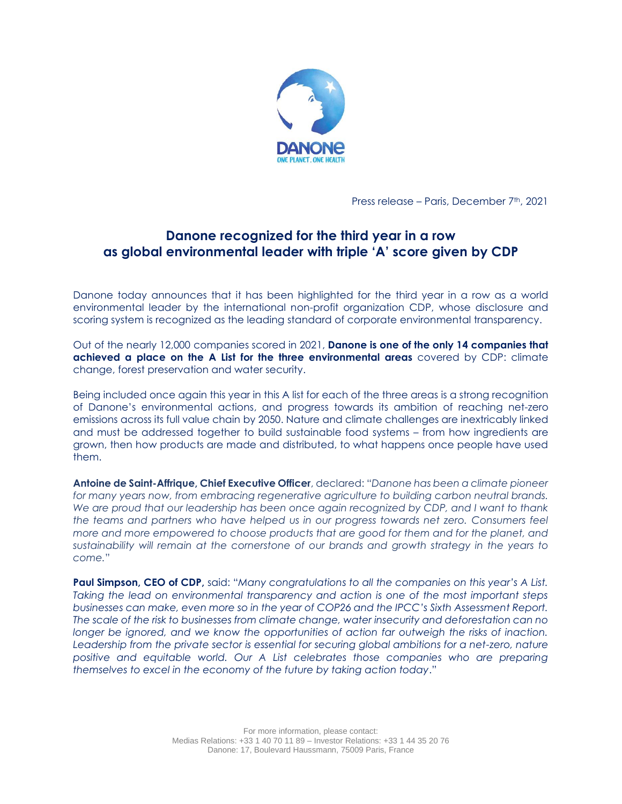

Press release – Paris, December 7<sup>th</sup>, 2021

# **Danone recognized for the third year in a row as global environmental leader with triple 'A' score given by CDP**

Danone today announces that it has been highlighted for the third year in a row as a world environmental leader by the international non-profit organization CDP, whose disclosure and scoring system is recognized as the leading standard of corporate environmental transparency.

Out of the nearly 12,000 companies scored in 2021, **Danone is one of the only 14 companies that achieved a place on the A List for the three environmental areas** covered by CDP: climate change, forest preservation and water security.

Being included once again this year in this A list for each of the three areas is a strong recognition of Danone's environmental actions, and progress towards its ambition of reaching net-zero emissions across its full value chain by 2050. Nature and climate challenges are inextricably linked and must be addressed together to build sustainable food systems – from how ingredients are grown, then how products are made and distributed, to what happens once people have used them.

**Antoine de Saint-Affrique, Chief Executive Officer**, declared: "*Danone has been a climate pioneer for many years now, from embracing regenerative agriculture to building carbon neutral brands. We are proud that our leadership has been once again recognized by CDP, and I want to thank the teams and partners who have helped us in our progress towards net zero. Consumers feel more and more empowered to choose products that are good for them and for the planet, and sustainability will remain at the cornerstone of our brands and growth strategy in the years to come.*"

**Paul Simpson, CEO of CDP,** said: "*Many congratulations to all the companies on this year's A List. Taking the lead on environmental transparency and action is one of the most important steps businesses can make, even more so in the year of COP26 and the IPCC's Sixth Assessment Report. The scale of the risk to businesses from climate change, water insecurity and deforestation can no longer be ignored, and we know the opportunities of action far outweigh the risks of inaction.*  Leadership from the private sector is essential for securing global ambitions for a net-zero, nature *positive and equitable world. Our A List celebrates those companies who are preparing themselves to excel in the economy of the future by taking action today*."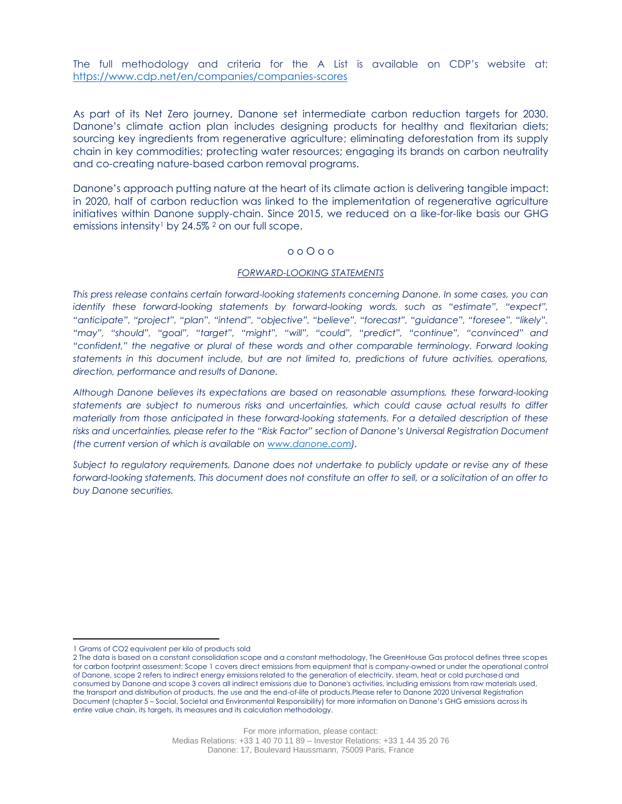The full methodology and criteria for the A List is available on CDP's website at: <https://www.cdp.net/en/companies/companies-scores>

As part of its Net Zero journey, Danone set intermediate carbon reduction targets for 2030. Danone's climate action plan includes designing products for healthy and flexitarian diets; sourcing key ingredients from regenerative agriculture; eliminating deforestation from its supply chain in key commodities; protecting water resources; engaging its brands on carbon neutrality and co-creating nature-based carbon removal programs.

Danone's approach putting nature at the heart of its climate action is delivering tangible impact: in 2020, half of carbon reduction was linked to the implementation of regenerative agriculture initiatives within Danone supply-chain. Since 2015, we reduced on a like-for-like basis our GHG emissions intensity<sup>1</sup> by 24.5%  $^2$  on our full scope.

### o o O o o

### *FORWARD-LOOKING STATEMENTS*

*This press release contains certain forward-looking statements concerning Danone. In some cases, you can identify these forward-looking statements by forward-looking words, such as "estimate", "expect", "anticipate", "project", "plan", "intend", "objective", "believe", "forecast", "guidance", "foresee", "likely", "may", "should", "goal", "target", "might", "will", "could", "predict", "continue", "convinced" and "confident," the negative or plural of these words and other comparable terminology. Forward looking statements in this document include, but are not limited to, predictions of future activities, operations, direction, performance and results of Danone.* 

*Although Danone believes its expectations are based on reasonable assumptions, these forward-looking statements are subject to numerous risks and uncertainties, which could cause actual results to differ materially from those anticipated in these forward-looking statements. For a detailed description of these risks and uncertainties, please refer to the "Risk Factor" section of Danone's Universal Registration Document (the current version of which is available on [www.danone.com\)](http://www.danone.com/).* 

*Subject to regulatory requirements, Danone does not undertake to publicly update or revise any of these forward-looking statements. This document does not constitute an offer to sell, or a solicitation of an offer to buy Danone securities.*

<sup>1</sup> Grams of CO2 equivalent per kilo of products sold

<sup>2</sup> The data is based on a constant consolidation scope and a constant methodology. The GreenHouse Gas protocol defines three scopes for carbon footprint assessment: Scope 1 covers direct emissions from equipment that is company-owned or under the operational control of Danone, scope 2 refers to indirect energy emissions related to the generation of electricity, steam, heat or cold purchased and consumed by Danone and scope 3 covers all indirect emissions due to Danone's activities, including emissions from raw materials used, the transport and distribution of products, the use and the end-of-life of products.Please refer to Danone 2020 Universal Registration Document (chapter 5 – Social, Societal and Environmental Responsibility) for more information on Danone's GHG emissions across its entire value chain, its targets, its measures and its calculation methodology.